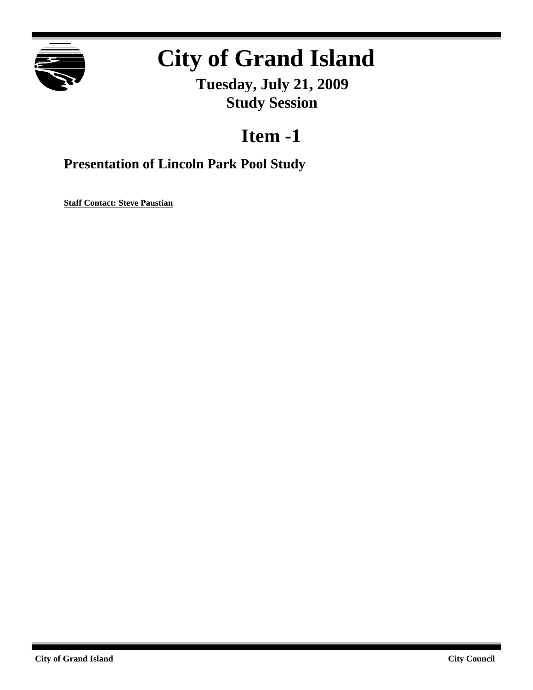

# **City of Grand Island**

**Tuesday, July 21, 2009 Study Session**

## **Item -1**

### **Presentation of Lincoln Park Pool Study**

**Staff Contact: Steve Paustian**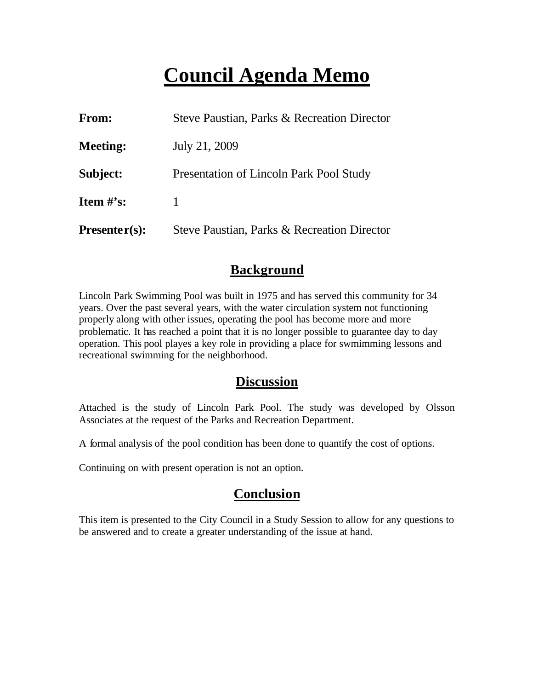## **Council Agenda Memo**

| From:           | Steve Paustian, Parks & Recreation Director |
|-----------------|---------------------------------------------|
| <b>Meeting:</b> | July 21, 2009                               |
| Subject:        | Presentation of Lincoln Park Pool Study     |
| Item $\#$ 's:   | 1                                           |
| $Presenter(s):$ | Steve Paustian, Parks & Recreation Director |

### **Background**

Lincoln Park Swimming Pool was built in 1975 and has served this community for 34 years. Over the past several years, with the water circulation system not functioning properly along with other issues, operating the pool has become more and more problematic. It has reached a point that it is no longer possible to guarantee day to day operation. This pool playes a key role in providing a place for swmimming lessons and recreational swimming for the neighborhood.

### **Discussion**

Attached is the study of Lincoln Park Pool. The study was developed by Olsson Associates at the request of the Parks and Recreation Department.

A formal analysis of the pool condition has been done to quantify the cost of options.

Continuing on with present operation is not an option.

### **Conclusion**

This item is presented to the City Council in a Study Session to allow for any questions to be answered and to create a greater understanding of the issue at hand.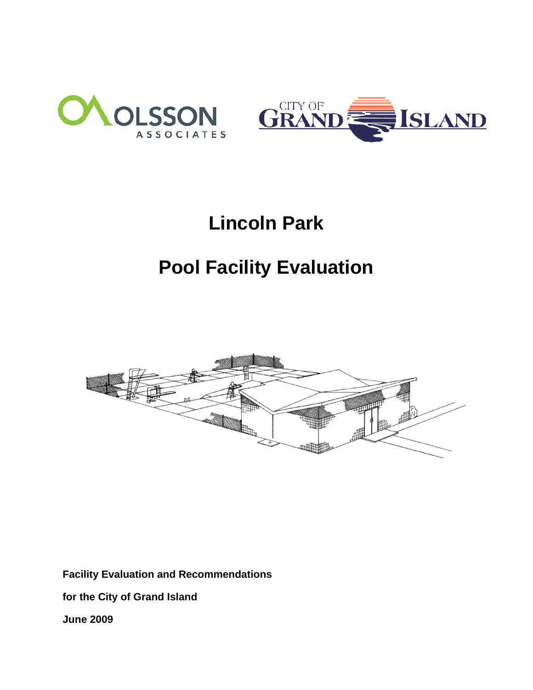



## **Lincoln Park**

## **Pool Facility Evaluation**



**Facility Evaluation and Recommendations** 

**for the City of Grand Island** 

**June 2009**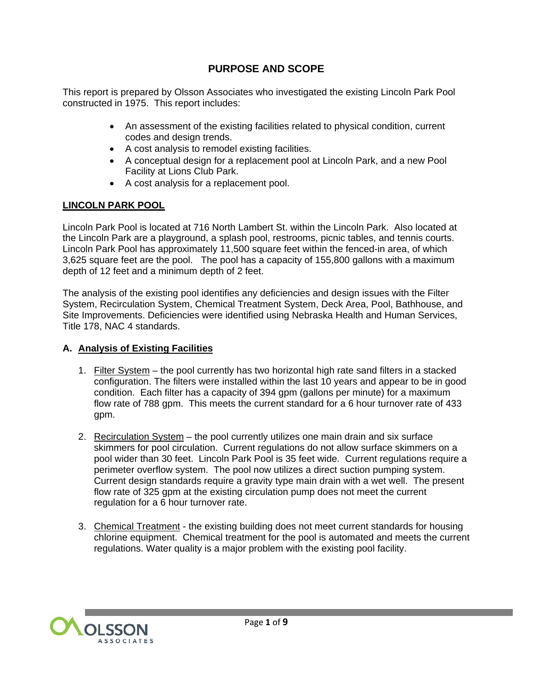#### **PURPOSE AND SCOPE**

This report is prepared by Olsson Associates who investigated the existing Lincoln Park Pool constructed in 1975. This report includes:

- An assessment of the existing facilities related to physical condition, current codes and design trends.
- A cost analysis to remodel existing facilities.
- A conceptual design for a replacement pool at Lincoln Park, and a new Pool Facility at Lions Club Park.
- A cost analysis for a replacement pool.

#### **LINCOLN PARK POOL**

Lincoln Park Pool is located at 716 North Lambert St. within the Lincoln Park. Also located at the Lincoln Park are a playground, a splash pool, restrooms, picnic tables, and tennis courts. Lincoln Park Pool has approximately 11,500 square feet within the fenced-in area, of which 3,625 square feet are the pool. The pool has a capacity of 155,800 gallons with a maximum depth of 12 feet and a minimum depth of 2 feet.

The analysis of the existing pool identifies any deficiencies and design issues with the Filter System, Recirculation System, Chemical Treatment System, Deck Area, Pool, Bathhouse, and Site Improvements. Deficiencies were identified using Nebraska Health and Human Services, Title 178, NAC 4 standards.

#### **A. Analysis of Existing Facilities**

- 1. Filter System the pool currently has two horizontal high rate sand filters in a stacked configuration. The filters were installed within the last 10 years and appear to be in good condition. Each filter has a capacity of 394 gpm (gallons per minute) for a maximum flow rate of 788 gpm. This meets the current standard for a 6 hour turnover rate of 433 gpm.
- 2. Recirculation System the pool currently utilizes one main drain and six surface skimmers for pool circulation. Current regulations do not allow surface skimmers on a pool wider than 30 feet. Lincoln Park Pool is 35 feet wide. Current regulations require a perimeter overflow system. The pool now utilizes a direct suction pumping system. Current design standards require a gravity type main drain with a wet well. The present flow rate of 325 gpm at the existing circulation pump does not meet the current regulation for a 6 hour turnover rate.
- 3. Chemical Treatment the existing building does not meet current standards for housing chlorine equipment. Chemical treatment for the pool is automated and meets the current regulations. Water quality is a major problem with the existing pool facility.

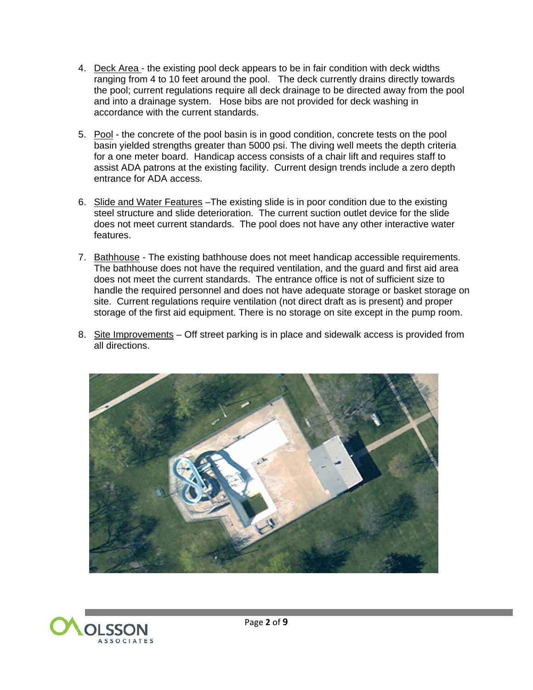- 4. Deck Area the existing pool deck appears to be in fair condition with deck widths **EXAMPLE THE CONSUMERT FROM THE REPORT OF A THE SECOND FROM THE POST CONSUMERT** FROM 4 to 10 feet around the pool. The deck currently drains directly towards the pool; current regulations require all deck drainage to be directed away from the pool and into a drainage system. Hose bibs are not provided for deck washing in accordance with the current standards.
- 5. Pool the concrete of the pool basin is in good condition, concrete tests on the pool basin yielded strengths greater than 5000 psi. The diving well meets the depth criteria for a one meter board. Handicap access consists of a chair lift and requires staff to assist ADA patrons at the existing facility. Current design trends include a zero depth entrance for ADA access.
- 6. Slide and Water Features –The existing slide is in poor condition due to the existing steel structure and slide deterioration. The current suction outlet device for the slide does not meet current standards. The pool does not have any other interactive water features.
- 7. Bathhouse The existing bathhouse does not meet handicap accessible requirements. The bathhouse does not have the required ventilation, and the guard and first aid area does not meet the current standards. The entrance office is not of sufficient size to handle the required personnel and does not have adequate storage or basket storage on site. Current regulations require ventilation (not direct draft as is present) and proper storage of the first aid equipment. There is no storage on site except in the pump room.
- 8. Site Improvements Off street parking is in place and sidewalk access is provided from all directions.



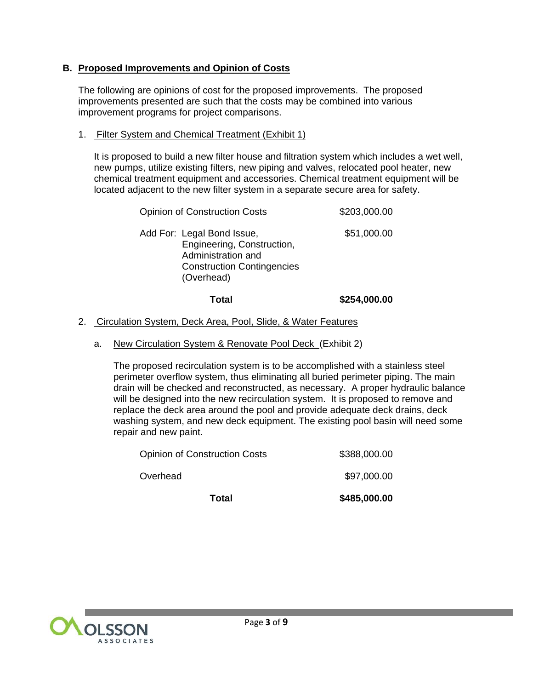#### **B. Proposed Improvements and Opinion of Costs**

The following are opinions of cost for the proposed improvements. The proposed improvements presented are such that the costs may be combined into various improvement programs for project comparisons.

#### 1. Filter System and Chemical Treatment (Exhibit 1)

It is proposed to build a new filter house and filtration system which includes a wet well, new pumps, utilize existing filters, new piping and valves, relocated pool heater, new chemical treatment equipment and accessories. Chemical treatment equipment will be located adjacent to the new filter system in a separate secure area for safety.

| <b>Opinion of Construction Costs</b>                                                                                              | \$203,000.00 |
|-----------------------------------------------------------------------------------------------------------------------------------|--------------|
| Add For: Legal Bond Issue,<br>Engineering, Construction,<br>Administration and<br><b>Construction Contingencies</b><br>(Overhead) | \$51,000.00  |

#### **Total \$254,000.00**

#### 2. Circulation System, Deck Area, Pool, Slide, & Water Features

#### a. New Circulation System & Renovate Pool Deck (Exhibit 2)

The proposed recirculation system is to be accomplished with a stainless steel perimeter overflow system, thus eliminating all buried perimeter piping. The main drain will be checked and reconstructed, as necessary. A proper hydraulic balance will be designed into the new recirculation system. It is proposed to remove and replace the deck area around the pool and provide adequate deck drains, deck washing system, and new deck equipment. The existing pool basin will need some repair and new paint.

| Total                         | \$485,000.00 |
|-------------------------------|--------------|
| Overhead                      | \$97,000.00  |
| Opinion of Construction Costs | \$388,000.00 |

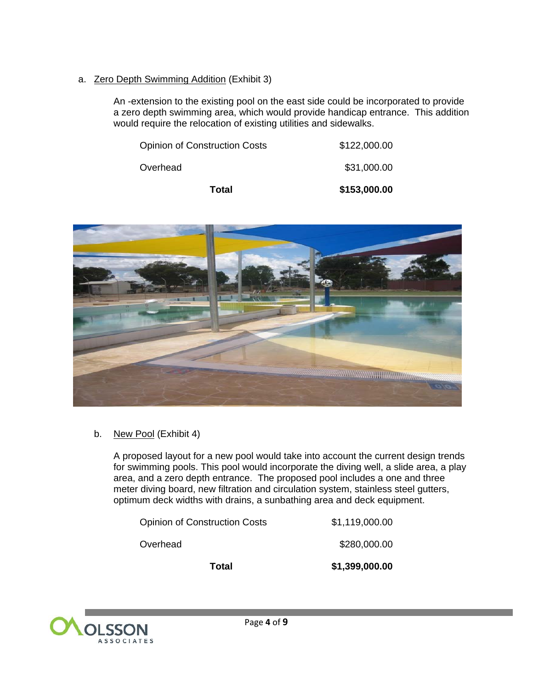#### a. Zero Depth Swimming Addition (Exhibit 3)

An -extension to the existing pool on the east side could be incorporated to provide a zero depth swimming area, which would provide handicap entrance. This addition would require the relocation of existing utilities and sidewalks.

| Total                                | \$153,000.00 |
|--------------------------------------|--------------|
| Overhead                             | \$31,000.00  |
| <b>Opinion of Construction Costs</b> | \$122,000.00 |



b. New Pool (Exhibit 4)

A proposed layout for a new pool would take into account the current design trends for swimming pools. This pool would incorporate the diving well, a slide area, a play area, and a zero depth entrance. The proposed pool includes a one and three meter diving board, new filtration and circulation system, stainless steel gutters, optimum deck widths with drains, a sunbathing area and deck equipment.

| Total                                | \$1,399,000.00 |
|--------------------------------------|----------------|
| Overhead                             | \$280,000.00   |
| <b>Opinion of Construction Costs</b> | \$1,119,000.00 |

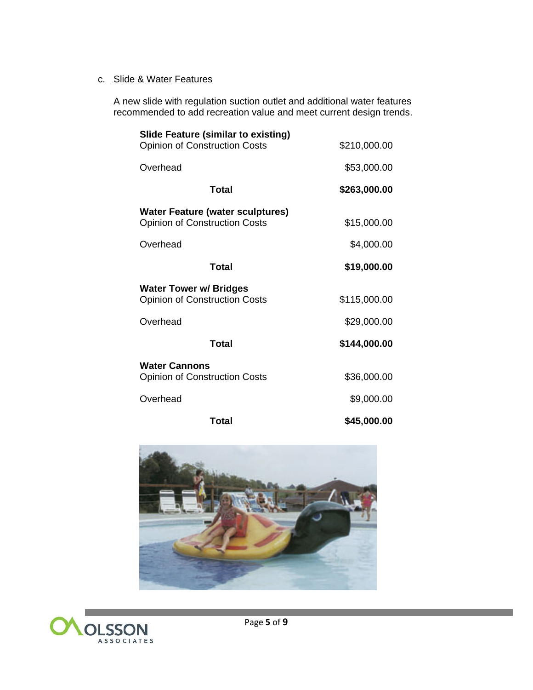#### c. Slide & Water Features

A new slide with regulation suction outlet and additional water features recommended to add recreation value and meet current design trends.

| <b>Slide Feature (similar to existing)</b><br><b>Opinion of Construction Costs</b> | \$210,000.00 |
|------------------------------------------------------------------------------------|--------------|
| Overhead                                                                           | \$53,000.00  |
| Total                                                                              | \$263,000.00 |
| <b>Water Feature (water sculptures)</b><br><b>Opinion of Construction Costs</b>    | \$15,000.00  |
| Overhead                                                                           | \$4,000.00   |
| Total                                                                              | \$19,000.00  |
| <b>Water Tower w/ Bridges</b><br><b>Opinion of Construction Costs</b>              | \$115,000.00 |
| Overhead                                                                           | \$29,000.00  |
| Total                                                                              | \$144,000.00 |
| <b>Water Cannons</b><br><b>Opinion of Construction Costs</b>                       | \$36,000.00  |
| Overhead                                                                           | \$9,000.00   |
| Total                                                                              | \$45,000.00  |



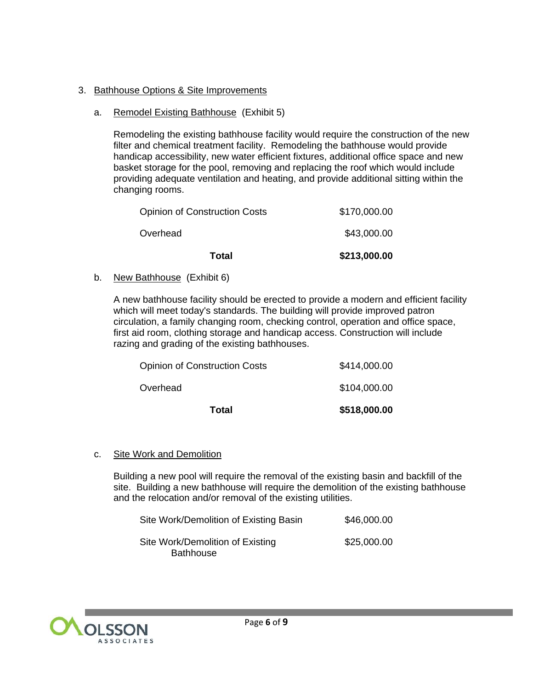#### 3. Bathhouse Options & Site Improvements

#### a. Remodel Existing Bathhouse (Exhibit 5)

 Remodeling the existing bathhouse facility would require the construction of the new filter and chemical treatment facility. Remodeling the bathhouse would provide handicap accessibility, new water efficient fixtures, additional office space and new basket storage for the pool, removing and replacing the roof which would include providing adequate ventilation and heating, and provide additional sitting within the changing rooms.

| Total                                | \$213,000.00 |
|--------------------------------------|--------------|
| Overhead                             | \$43,000.00  |
| <b>Opinion of Construction Costs</b> | \$170,000.00 |

b. New Bathhouse (Exhibit 6)

A new bathhouse facility should be erected to provide a modern and efficient facility which will meet today's standards. The building will provide improved patron circulation, a family changing room, checking control, operation and office space, first aid room, clothing storage and handicap access. Construction will include razing and grading of the existing bathhouses.

| Total                                | \$518,000.00 |
|--------------------------------------|--------------|
| Overhead                             | \$104,000.00 |
| <b>Opinion of Construction Costs</b> | \$414,000.00 |

#### c. Site Work and Demolition

Building a new pool will require the removal of the existing basin and backfill of the site. Building a new bathhouse will require the demolition of the existing bathhouse and the relocation and/or removal of the existing utilities.

| Site Work/Demolition of Existing Basin               | \$46,000.00 |
|------------------------------------------------------|-------------|
| Site Work/Demolition of Existing<br><b>Bathhouse</b> | \$25,000.00 |

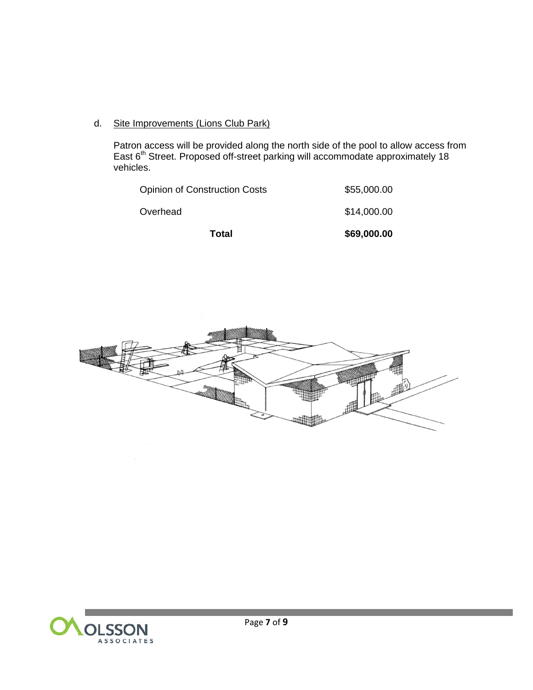d. Site Improvements (Lions Club Park)

Patron access will be provided along the north side of the pool to allow access from East 6<sup>th</sup> Street. Proposed off-street parking will accommodate approximately 18 vehicles.

| Total                                | \$69,000.00 |
|--------------------------------------|-------------|
| Overhead                             | \$14,000.00 |
| <b>Opinion of Construction Costs</b> | \$55,000.00 |



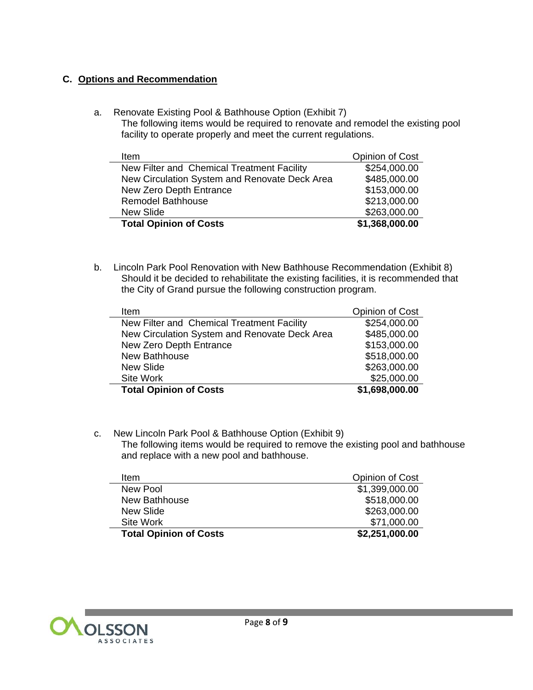#### **C. Options and Recommendation**

a. Renovate Existing Pool & Bathhouse Option (Exhibit 7) The following items would be required to renovate and remodel the existing pool facility to operate properly and meet the current regulations.

| <b>Item</b>                                   | Opinion of Cost |
|-----------------------------------------------|-----------------|
| New Filter and Chemical Treatment Facility    | \$254,000.00    |
| New Circulation System and Renovate Deck Area | \$485,000.00    |
| New Zero Depth Entrance                       | \$153,000.00    |
| <b>Remodel Bathhouse</b>                      | \$213,000.00    |
| <b>New Slide</b>                              | \$263,000.00    |
| <b>Total Opinion of Costs</b>                 | \$1,368,000.00  |

b. Lincoln Park Pool Renovation with New Bathhouse Recommendation (Exhibit 8) Should it be decided to rehabilitate the existing facilities, it is recommended that the City of Grand pursue the following construction program.

| Item                                          | Opinion of Cost |
|-----------------------------------------------|-----------------|
| New Filter and Chemical Treatment Facility    | \$254,000.00    |
| New Circulation System and Renovate Deck Area | \$485,000.00    |
| New Zero Depth Entrance                       | \$153,000.00    |
| New Bathhouse                                 | \$518,000.00    |
| New Slide                                     | \$263,000.00    |
| Site Work                                     | \$25,000.00     |
| <b>Total Opinion of Costs</b>                 | \$1,698,000.00  |

c. New Lincoln Park Pool & Bathhouse Option (Exhibit 9) The following items would be required to remove the existing pool and bathhouse and replace with a new pool and bathhouse.

| ltem                          | Opinion of Cost |
|-------------------------------|-----------------|
| New Pool                      | \$1,399,000.00  |
| New Bathhouse                 | \$518,000.00    |
| New Slide                     | \$263,000.00    |
| Site Work                     | \$71,000.00     |
| <b>Total Opinion of Costs</b> | \$2,251,000.00  |



and the state of the state of the state of the state of the state of the state of the state of the